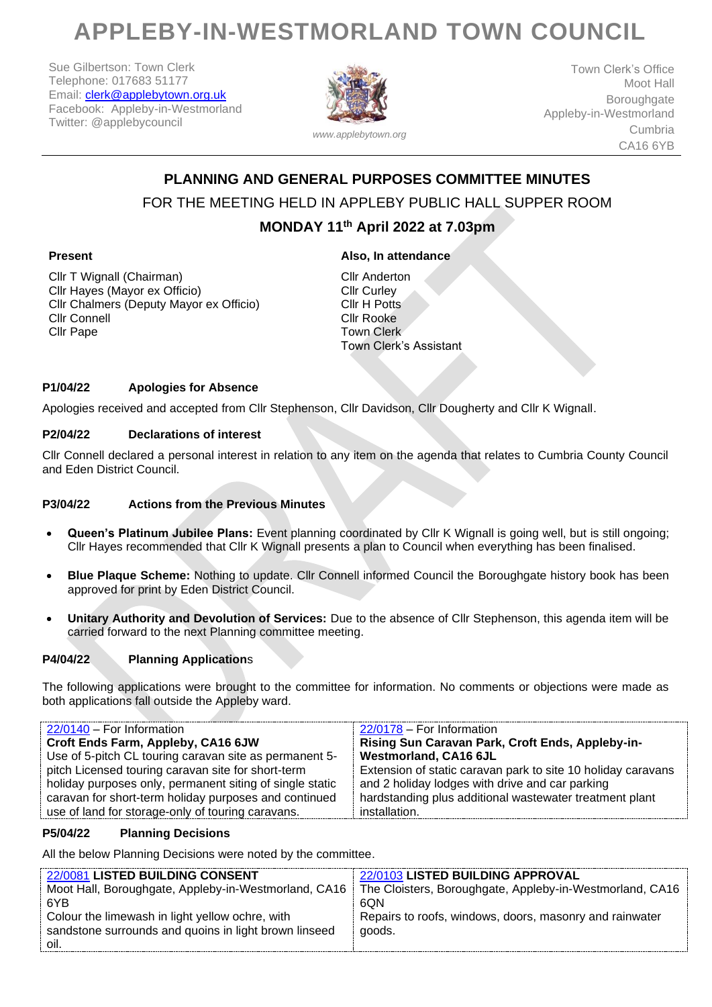# **APPLEBY-IN-WESTMORLAND TOWN COUNCIL**

Sue Gilbertson: Town Clerk Telephone: 017683 51177 Email: [clerk@applebytown.org.uk](mailto:clerk@applebytown.org.uk) Facebook: Appleby-in-Westmorland Twitter: @applebycouncil



*www.applebytown.org*

Town Clerk's Office Moot Hall Boroughgate Appleby-in-Westmorland Cumbria CA16 6YB

# **PLANNING AND GENERAL PURPOSES COMMITTEE MINUTES** FOR THE MEETING HELD IN APPLEBY PUBLIC HALL SUPPER ROOM

## **MONDAY 11th April 2022 at 7.03pm**

#### **Present**

Cllr T Wignall (Chairman) Cllr Hayes (Mayor ex Officio) Cllr Chalmers (Deputy Mayor ex Officio) Cllr Connell Cllr Pape

### **Also, In attendance**

Cllr Anderton Cllr Curley Cllr H Potts Cllr Rooke Town Clerk Town Clerk's Assistant

#### **P1/04/22 Apologies for Absence**

Apologies received and accepted from Cllr Stephenson, Cllr Davidson, Cllr Dougherty and Cllr K Wignall.

#### **P2/04/22 Declarations of interest**

Cllr Connell declared a personal interest in relation to any item on the agenda that relates to Cumbria County Council and Eden District Council.

#### **P3/04/22 Actions from the Previous Minutes**

- **Queen's Platinum Jubilee Plans:** Event planning coordinated by Cllr K Wignall is going well, but is still ongoing; Cllr Hayes recommended that Cllr K Wignall presents a plan to Council when everything has been finalised.
- **Blue Plaque Scheme:** Nothing to update. Cllr Connell informed Council the Boroughgate history book has been approved for print by Eden District Council.
- **Unitary Authority and Devolution of Services:** Due to the absence of Cllr Stephenson, this agenda item will be carried forward to the next Planning committee meeting.

#### **P4/04/22 Planning Application**s

The following applications were brought to the committee for information. No comments or objections were made as both applications fall outside the Appleby ward.

| 22/0140 - For Information                                | 22/0178 - For Information                                    |
|----------------------------------------------------------|--------------------------------------------------------------|
| Croft Ends Farm, Appleby, CA16 6JW                       | Rising Sun Caravan Park, Croft Ends, Appleby-in-             |
| Use of 5-pitch CL touring caravan site as permanent 5-   | <b>Westmorland, CA16 6JL</b>                                 |
| pitch Licensed touring caravan site for short-term       | Extension of static caravan park to site 10 holiday caravans |
| holiday purposes only, permanent siting of single static | and 2 holiday lodges with drive and car parking              |
| caravan for short-term holiday purposes and continued    | hardstanding plus additional wastewater treatment plant      |
| use of land for storage-only of touring caravans.        | installation.                                                |

#### **P5/04/22 Planning Decisions**

All the below Planning Decisions were noted by the committee.

| 22/0081 LISTED BUILDING CONSENT                       | 22/0103 LISTED BUILDING APPROVAL                         |
|-------------------------------------------------------|----------------------------------------------------------|
| Moot Hall, Boroughgate, Appleby-in-Westmorland, CA16  | The Cloisters, Boroughgate, Appleby-in-Westmorland, CA16 |
| 6YB                                                   | 6QN                                                      |
| Colour the limewash in light yellow ochre, with       | Repairs to roofs, windows, doors, masonry and rainwater  |
| sandstone surrounds and quoins in light brown linseed | qoods.                                                   |
| oil.                                                  |                                                          |
|                                                       |                                                          |